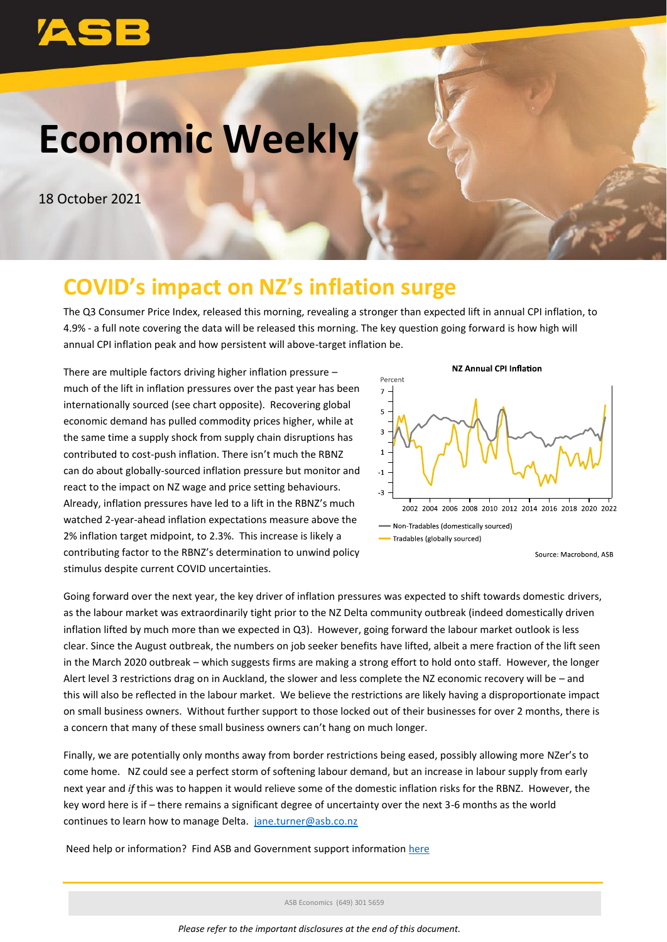# **Economic Weekly**

18 October 2021

# **COVID's impact on NZ's inflation surge**

The Q3 Consumer Price Index, released this morning, revealing a stronger than expected lift in annual CPI inflation, to 4.9% - a full note covering the data will be released this morning. The key question going forward is how high will annual CPI inflation peak and how persistent will above-target inflation be.

There are multiple factors driving higher inflation pressure – much of the lift in inflation pressures over the past year has been internationally sourced (see chart opposite). Recovering global economic demand has pulled commodity prices higher, while at the same time a supply shock from supply chain disruptions has contributed to cost-push inflation. There isn't much the RBNZ can do about globally-sourced inflation pressure but monitor and react to the impact on NZ wage and price setting behaviours. Already, inflation pressures have led to a lift in the RBNZ's much watched 2-year-ahead inflation expectations measure above the 2% inflation target midpoint, to 2.3%. This increase is likely a contributing factor to the RBNZ's determination to unwind policy stimulus despite current COVID uncertainties.



Source: Macrobond, ASB

Going forward over the next year, the key driver of inflation pressures was expected to shift towards domestic drivers, as the labour market was extraordinarily tight prior to the NZ Delta community outbreak (indeed domestically driven inflation lifted by much more than we expected in Q3). However, going forward the labour market outlook is less clear. Since the August outbreak, the numbers on job seeker benefits have lifted, albeit a mere fraction of the lift seen in the March 2020 outbreak – which suggests firms are making a strong effort to hold onto staff. However, the longer Alert level 3 restrictions drag on in Auckland, the slower and less complete the NZ economic recovery will be – and this will also be reflected in the labour market. We believe the restrictions are likely having a disproportionate impact on small business owners. Without further support to those locked out of their businesses for over 2 months, there is a concern that many of these small business owners can't hang on much longer.

Finally, we are potentially only months away from border restrictions being eased, possibly allowing more NZer's to come home. NZ could see a perfect storm of softening labour demand, but an increase in labour supply from early next year and *if* this was to happen it would relieve some of the domestic inflation risks for the RBNZ. However, the key word here is if – there remains a significant degree of uncertainty over the next 3-6 months as the world continues to learn how to manage Delta. [jane.turner@asb.co.nz](mailto:jane.turner@asb.co.nz)

Need help or information? Find ASB and Government support information [here](https://www.asb.co.nz/covid-19)

ASB Economics (649) 301 5659

*Please refer to the important disclosures at the end of this document.*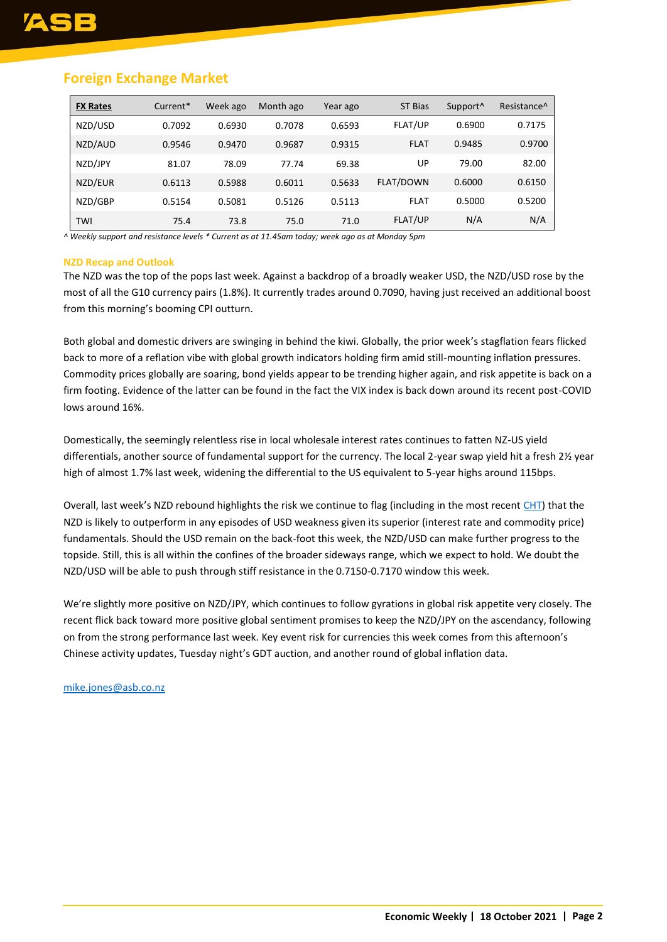## **Foreign Exchange Market**

| <b>FX Rates</b> | Current* | Week ago | Month ago | Year ago | ST Bias     | Support <sup>^</sup> | Resistance <sup>^</sup> |
|-----------------|----------|----------|-----------|----------|-------------|----------------------|-------------------------|
| NZD/USD         | 0.7092   | 0.6930   | 0.7078    | 0.6593   | FLAT/UP     | 0.6900               | 0.7175                  |
| NZD/AUD         | 0.9546   | 0.9470   | 0.9687    | 0.9315   | <b>FLAT</b> | 0.9485               | 0.9700                  |
| NZD/JPY         | 81.07    | 78.09    | 77.74     | 69.38    | UP          | 79.00                | 82.00                   |
| NZD/EUR         | 0.6113   | 0.5988   | 0.6011    | 0.5633   | FLAT/DOWN   | 0.6000               | 0.6150                  |
| NZD/GBP         | 0.5154   | 0.5081   | 0.5126    | 0.5113   | <b>FLAT</b> | 0.5000               | 0.5200                  |
| TWI             | 75.4     | 73.8     | 75.0      | 71.0     | FLAT/UP     | N/A                  | N/A                     |

*^ Weekly support and resistance levels \* Current as at 11.45am today; week ago as at Monday 5pm*

## **NZD Recap and Outlook**

The NZD was the top of the pops last week. Against a backdrop of a broadly weaker USD, the NZD/USD rose by the most of all the G10 currency pairs (1.8%). It currently trades around 0.7090, having just received an additional boost from this morning's booming CPI outturn.

Both global and domestic drivers are swinging in behind the kiwi. Globally, the prior week's stagflation fears flicked back to more of a reflation vibe with global growth indicators holding firm amid still-mounting inflation pressures. Commodity prices globally are soaring, bond yields appear to be trending higher again, and risk appetite is back on a firm footing. Evidence of the latter can be found in the fact the VIX index is back down around its recent post-COVID lows around 16%.

Domestically, the seemingly relentless rise in local wholesale interest rates continues to fatten NZ-US yield differentials, another source of fundamental support for the currency. The local 2-year swap yield hit a fresh 2½ year high of almost 1.7% last week, widening the differential to the US equivalent to 5-year highs around 115bps.

Overall, last week's NZD rebound highlights the risk we continue to flag (including in the most recent [CHT\)](https://www.asb.co.nz/content/dam/asb/documents/reports/corporate-hedging-toolbox/corporate-hedging-toolbox-q3-2021.pdf) that the NZD is likely to outperform in any episodes of USD weakness given its superior (interest rate and commodity price) fundamentals. Should the USD remain on the back-foot this week, the NZD/USD can make further progress to the topside. Still, this is all within the confines of the broader sideways range, which we expect to hold. We doubt the NZD/USD will be able to push through stiff resistance in the 0.7150-0.7170 window this week.

We're slightly more positive on NZD/JPY, which continues to follow gyrations in global risk appetite very closely. The recent flick back toward more positive global sentiment promises to keep the NZD/JPY on the ascendancy, following on from the strong performance last week. Key event risk for currencies this week comes from this afternoon's Chinese activity updates, Tuesday night's GDT auction, and another round of global inflation data.

## [mike.jones@asb.co.nz](mailto:mike.jones@asb.co.nz)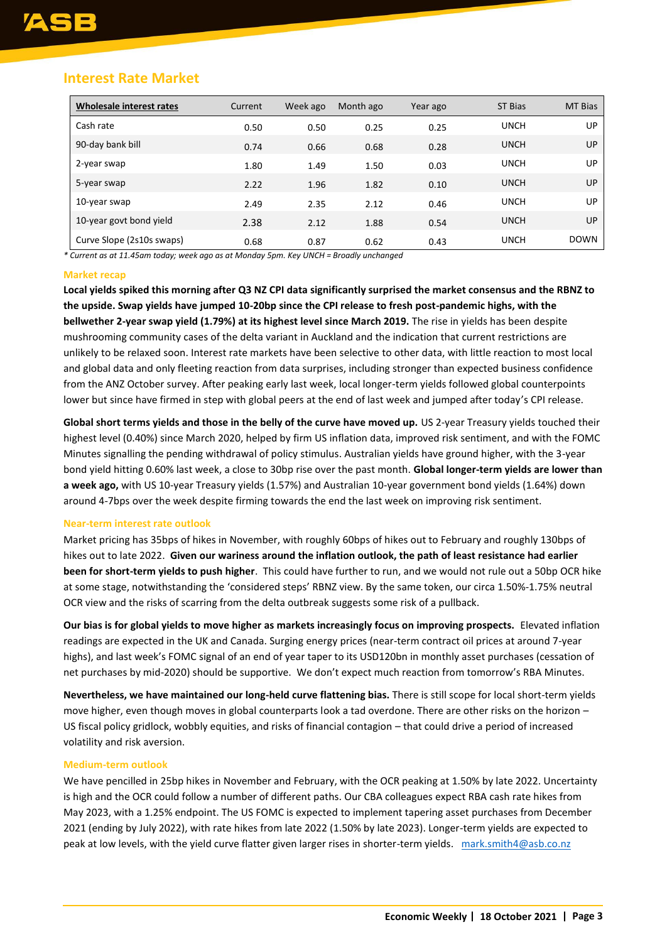## **Interest Rate Market**

| Wholesale interest rates  | Current | Week ago | Month ago | Year ago | <b>ST Bias</b> | <b>MT Bias</b> |
|---------------------------|---------|----------|-----------|----------|----------------|----------------|
| Cash rate                 | 0.50    | 0.50     | 0.25      | 0.25     | <b>UNCH</b>    | UP.            |
| 90-day bank bill          | 0.74    | 0.66     | 0.68      | 0.28     | <b>UNCH</b>    | UP.            |
| 2-year swap               | 1.80    | 1.49     | 1.50      | 0.03     | <b>UNCH</b>    | UP.            |
| 5-year swap               | 2.22    | 1.96     | 1.82      | 0.10     | <b>UNCH</b>    | UP.            |
| 10-year swap              | 2.49    | 2.35     | 2.12      | 0.46     | <b>UNCH</b>    | UP.            |
| 10-year govt bond yield   | 2.38    | 2.12     | 1.88      | 0.54     | <b>UNCH</b>    | UP             |
| Curve Slope (2s10s swaps) | 0.68    | 0.87     | 0.62      | 0.43     | <b>UNCH</b>    | <b>DOWN</b>    |

*\* Current as at 11.45am today; week ago as at Monday 5pm. Key UNCH = Broadly unchanged*

## **Market recap**

**Local yields spiked this morning after Q3 NZ CPI data significantly surprised the market consensus and the RBNZ to the upside. Swap yields have jumped 10-20bp since the CPI release to fresh post-pandemic highs, with the bellwether 2-year swap yield (1.79%) at its highest level since March 2019.** The rise in yields has been despite mushrooming community cases of the delta variant in Auckland and the indication that current restrictions are unlikely to be relaxed soon. Interest rate markets have been selective to other data, with little reaction to most local and global data and only fleeting reaction from data surprises, including stronger than expected business confidence from the ANZ October survey. After peaking early last week, local longer-term yields followed global counterpoints lower but since have firmed in step with global peers at the end of last week and jumped after today's CPI release.

**Global short terms yields and those in the belly of the curve have moved up.** US 2-year Treasury yields touched their highest level (0.40%) since March 2020, helped by firm US inflation data, improved risk sentiment, and with the FOMC Minutes signalling the pending withdrawal of policy stimulus. Australian yields have ground higher, with the 3-year bond yield hitting 0.60% last week, a close to 30bp rise over the past month. **Global longer-term yields are lower than a week ago,** with US 10-year Treasury yields (1.57%) and Australian 10-year government bond yields (1.64%) down around 4-7bps over the week despite firming towards the end the last week on improving risk sentiment.

## **Near-term interest rate outlook**

Market pricing has 35bps of hikes in November, with roughly 60bps of hikes out to February and roughly 130bps of hikes out to late 2022. **Given our wariness around the inflation outlook, the path of least resistance had earlier been for short-term yields to push higher**. This could have further to run, and we would not rule out a 50bp OCR hike at some stage, notwithstanding the 'considered steps' RBNZ view. By the same token, our circa 1.50%-1.75% neutral OCR view and the risks of scarring from the delta outbreak suggests some risk of a pullback.

**Our bias is for global yields to move higher as markets increasingly focus on improving prospects.** Elevated inflation readings are expected in the UK and Canada. Surging energy prices (near-term contract oil prices at around 7-year highs), and last week's FOMC signal of an end of year taper to its USD120bn in monthly asset purchases (cessation of net purchases by mid-2020) should be supportive. We don't expect much reaction from tomorrow's RBA Minutes.

**Nevertheless, we have maintained our long-held curve flattening bias.** There is still scope for local short-term yields move higher, even though moves in global counterparts look a tad overdone. There are other risks on the horizon – US fiscal policy gridlock, wobbly equities, and risks of financial contagion – that could drive a period of increased volatility and risk aversion.

## **Medium-term outlook**

We have pencilled in 25bp hikes in November and February, with the OCR peaking at 1.50% by late 2022. Uncertainty is high and the OCR could follow a number of different paths. Our CBA colleagues expect RBA cash rate hikes from May 2023, with a 1.25% endpoint. The US FOMC is expected to implement tapering asset purchases from December 2021 (ending by July 2022), with rate hikes from late 2022 (1.50% by late 2023). Longer-term yields are expected to peak at low levels, with the yield curve flatter given larger rises in shorter-term yields. [mark.smith4@asb.co.nz](mailto:mark.smith4@asb.co.nz)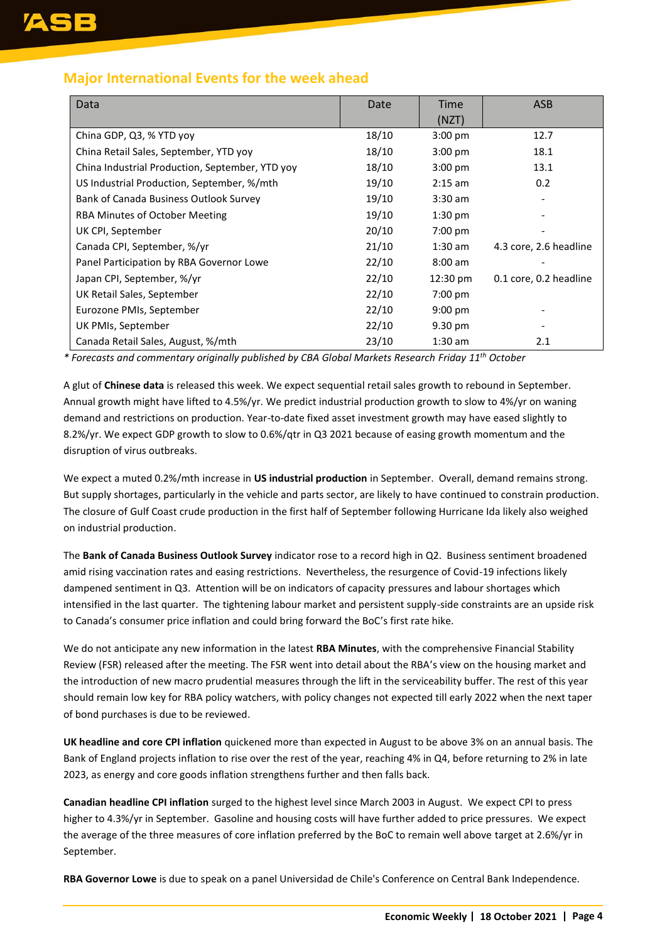## **Major International Events for the week ahead**

| Data                                            | Date  | Time      | <b>ASB</b>             |
|-------------------------------------------------|-------|-----------|------------------------|
|                                                 |       | (NZT)     |                        |
| China GDP, Q3, % YTD yoy                        | 18/10 | $3:00$ pm | 12.7                   |
| China Retail Sales, September, YTD yoy          | 18/10 | $3:00$ pm | 18.1                   |
| China Industrial Production, September, YTD yoy | 18/10 | $3:00$ pm | 13.1                   |
| US Industrial Production, September, %/mth      | 19/10 | $2:15$ am | 0.2                    |
| Bank of Canada Business Outlook Survey          | 19/10 | $3:30$ am |                        |
| RBA Minutes of October Meeting                  | 19/10 | $1:30$ pm |                        |
| UK CPI, September                               | 20/10 | 7:00 pm   |                        |
| Canada CPI, September, %/yr                     | 21/10 | $1:30$ am | 4.3 core, 2.6 headline |
| Panel Participation by RBA Governor Lowe        | 22/10 | $8:00$ am |                        |
| Japan CPI, September, %/yr                      | 22/10 | 12:30 pm  | 0.1 core, 0.2 headline |
| UK Retail Sales, September                      | 22/10 | $7:00$ pm |                        |
| Eurozone PMIs, September                        | 22/10 | $9:00$ pm |                        |
| UK PMIs, September                              | 22/10 | 9.30 pm   |                        |
| Canada Retail Sales, August, %/mth              | 23/10 | $1:30$ am | 2.1                    |

*\* Forecasts and commentary originally published by CBA Global Markets Research Friday 11th October*

A glut of **Chinese data** is released this week. We expect sequential retail sales growth to rebound in September. Annual growth might have lifted to 4.5%/yr. We predict industrial production growth to slow to 4%/yr on waning demand and restrictions on production. Year-to-date fixed asset investment growth may have eased slightly to 8.2%/yr. We expect GDP growth to slow to 0.6%/qtr in Q3 2021 because of easing growth momentum and the disruption of virus outbreaks.

We expect a muted 0.2%/mth increase in **US industrial production** in September. Overall, demand remains strong. But supply shortages, particularly in the vehicle and parts sector, are likely to have continued to constrain production. The closure of Gulf Coast crude production in the first half of September following Hurricane Ida likely also weighed on industrial production.

The **Bank of Canada Business Outlook Survey** indicator rose to a record high in Q2. Business sentiment broadened amid rising vaccination rates and easing restrictions. Nevertheless, the resurgence of Covid-19 infections likely dampened sentiment in Q3. Attention will be on indicators of capacity pressures and labour shortages which intensified in the last quarter. The tightening labour market and persistent supply-side constraints are an upside risk to Canada's consumer price inflation and could bring forward the BoC's first rate hike.

We do not anticipate any new information in the latest **RBA Minutes**, with the comprehensive Financial Stability Review (FSR) released after the meeting. The FSR went into detail about the RBA's view on the housing market and the introduction of new macro prudential measures through the lift in the serviceability buffer. The rest of this year should remain low key for RBA policy watchers, with policy changes not expected till early 2022 when the next taper of bond purchases is due to be reviewed.

**UK headline and core CPI inflation** quickened more than expected in August to be above 3% on an annual basis. The Bank of England projects inflation to rise over the rest of the year, reaching 4% in Q4, before returning to 2% in late 2023, as energy and core goods inflation strengthens further and then falls back.

**Canadian headline CPI inflation** surged to the highest level since March 2003 in August. We expect CPI to press higher to 4.3%/yr in September. Gasoline and housing costs will have further added to price pressures. We expect the average of the three measures of core inflation preferred by the BoC to remain well above target at 2.6%/yr in September.

**RBA Governor Lowe** is due to speak on a panel Universidad de Chile's Conference on Central Bank Independence.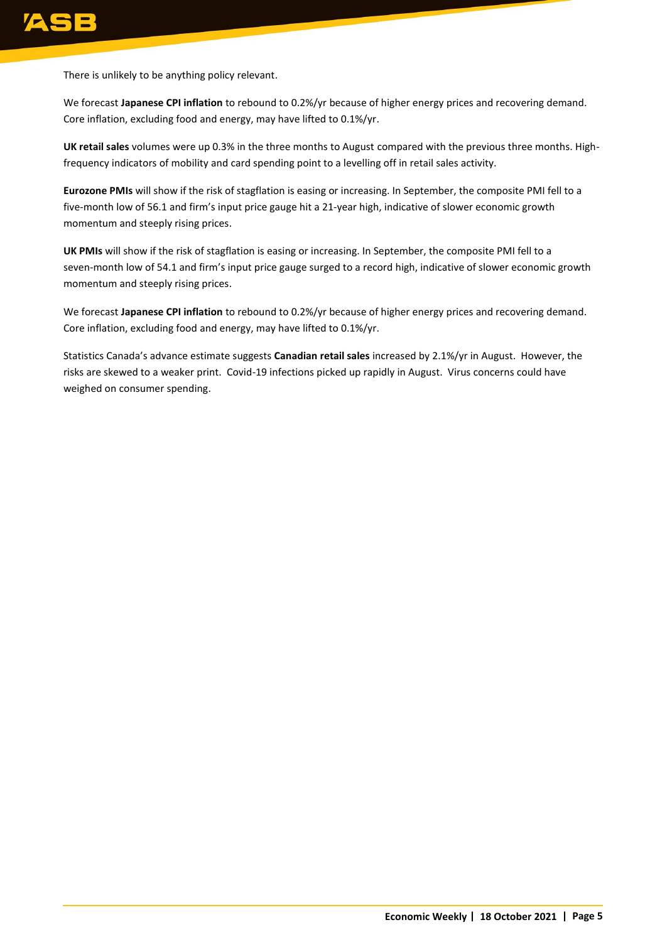There is unlikely to be anything policy relevant.

We forecast **Japanese CPI inflation** to rebound to 0.2%/yr because of higher energy prices and recovering demand. Core inflation, excluding food and energy, may have lifted to 0.1%/yr.

**UK retail sales** volumes were up 0.3% in the three months to August compared with the previous three months. Highfrequency indicators of mobility and card spending point to a levelling off in retail sales activity.

**Eurozone PMIs** will show if the risk of stagflation is easing or increasing. In September, the composite PMI fell to a five-month low of 56.1 and firm's input price gauge hit a 21-year high, indicative of slower economic growth momentum and steeply rising prices.

**UK PMIs** will show if the risk of stagflation is easing or increasing. In September, the composite PMI fell to a seven-month low of 54.1 and firm's input price gauge surged to a record high, indicative of slower economic growth momentum and steeply rising prices.

We forecast **Japanese CPI inflation** to rebound to 0.2%/yr because of higher energy prices and recovering demand. Core inflation, excluding food and energy, may have lifted to 0.1%/yr.

Statistics Canada's advance estimate suggests **Canadian retail sales** increased by 2.1%/yr in August. However, the risks are skewed to a weaker print. Covid-19 infections picked up rapidly in August. Virus concerns could have weighed on consumer spending.